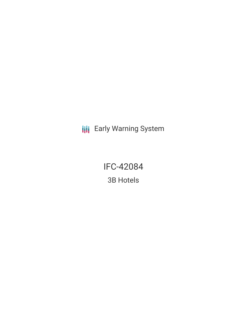**III** Early Warning System

IFC-42084 3B Hotels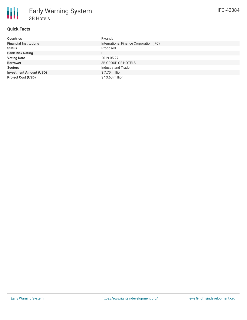# **Quick Facts**

| <b>Countries</b>               | Rwanda                                  |
|--------------------------------|-----------------------------------------|
| <b>Financial Institutions</b>  | International Finance Corporation (IFC) |
| <b>Status</b>                  | Proposed                                |
| <b>Bank Risk Rating</b>        | B                                       |
| <b>Voting Date</b>             | 2019-05-27                              |
| <b>Borrower</b>                | <b>3B GROUP OF HOTELS</b>               |
| <b>Sectors</b>                 | Industry and Trade                      |
| <b>Investment Amount (USD)</b> | \$7.70 million                          |
| <b>Project Cost (USD)</b>      | \$13.60 million                         |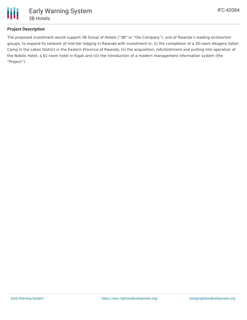

# **Project Description**

The proposed investment would support 3B Group of Hotels ("3B" or "the Company"), one of Rwanda's leading ecotourism groups, to expand its network of mid-tier lodging in Rwanda with investment in: (i) the completion of a 30-room Akagera Safari Camp in the Lakes District in the Eastern Province of Rwanda, (ii) the acquisition, refurbishment and putting into operation of the Nobilis Hotel, a 61-room hotel in Kigali and (iii) the introduction of a modern management information system (the "Project").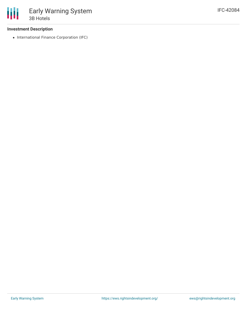## **Investment Description**

• International Finance Corporation (IFC)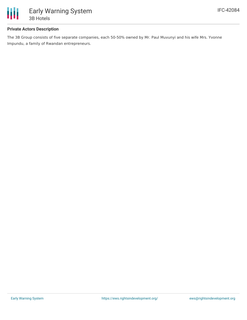

## **Private Actors Description**

The 3B Group consists of five separate companies, each 50-50% owned by Mr. Paul Muvunyi and his wife Mrs. Yvonne Impundu, a family of Rwandan entrepreneurs.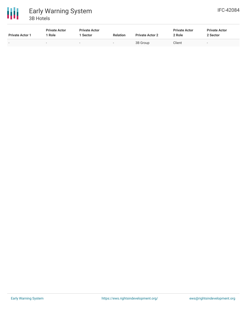

| <b>Private Actor 1</b>   | <b>Private Actor</b><br>Role | <b>Private Actor</b><br>Sector | <b>Relation</b>          | <b>Private Actor 2</b> | <b>Private Actor</b><br>2 Role | <b>Private Actor</b><br>2 Sector |
|--------------------------|------------------------------|--------------------------------|--------------------------|------------------------|--------------------------------|----------------------------------|
| $\overline{\phantom{0}}$ | $\overline{\phantom{0}}$     |                                | $\overline{\phantom{0}}$ | 3B Group               | Client                         | $\overline{\phantom{a}}$         |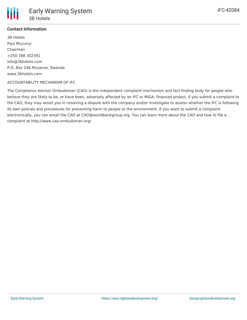

# **Contact Information**

3B Hotels Paul Muvunyi Chairman +250 788 302391 info@3bhotels.com P.O. Box 246 Musanze, Rwanda www.3bhotels.com

## ACCOUNTABILITY MECHANISM OF IFC

The Compliance Advisor Ombudsman (CAO) is the independent complaint mechanism and fact-finding body for people who believe they are likely to be, or have been, adversely affected by an IFC or MIGA- financed project. If you submit a complaint to the CAO, they may assist you in resolving a dispute with the company and/or investigate to assess whether the IFC is following its own policies and procedures for preventing harm to people or the environment. If you want to submit a complaint electronically, you can email the CAO at CAO@worldbankgroup.org. You can learn more about the CAO and how to file a complaint at http://www.cao-ombudsman.org/